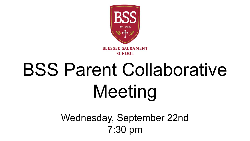

# BSS Parent Collaborative Meeting

Wednesday, September 22nd 7:30 pm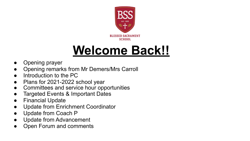

## **Welcome Back!!**

- Opening prayer
- **Opening remarks from Mr Demers/Mrs Carroll**
- Introduction to the PC
- Plans for 2021-2022 school year
- Committees and service hour opportunities
- Targeted Events & Important Dates
- Financial Update
- Update from Enrichment Coordinator
- Update from Coach P
- Update from Advancement
- Open Forum and comments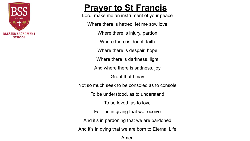

## **Prayer to St Francis**

Lord, make me an instrument of your peace

Where there is hatred, let me sow love

Where there is injury, pardon

Where there is doubt, faith

Where there is despair, hope

Where there is darkness, light

And where there is sadness, joy

Grant that I may

Not so much seek to be consoled as to console

To be understood, as to understand

To be loved, as to love

For it is in giving that we receive

And it's in pardoning that we are pardoned

And it's in dying that we are born to Eternal Life

Amen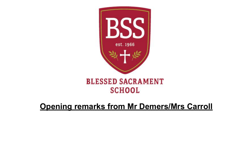

## **Opening remarks from Mr Demers/Mrs Carroll**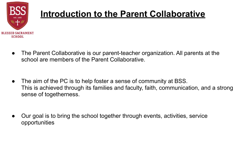

## **Introduction to the Parent Collaborative**

● The Parent Collaborative is our parent-teacher organization. All parents at the school are members of the Parent Collaborative.

• The aim of the PC is to help foster a sense of community at BSS. This is achieved through its families and faculty, faith, communication, and a strong sense of togetherness.

Our goal is to bring the school together through events, activities, service opportunities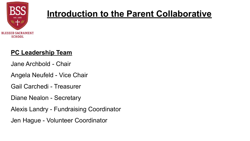

## **Introduction to the Parent Collaborative**

#### **PC Leadership Team**

Jane Archbold - Chair

Angela Neufeld - Vice Chair

Gail Carchedi - Treasurer

Diane Nealon - Secretary

Alexis Landry - Fundraising Coordinator

Jen Hague - Volunteer Coordinator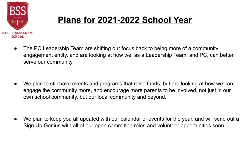

## **Plans for 2021-2022 School Year**

● The PC Leadership Team are shifting our focus back to being more of a community engagement entity, and are looking at how we, as a Leadership Team, and PC, can better serve our community.

● We plan to still have events and programs that raise funds, but are looking at how we can engage the community more, and encourage more parents to be involved, not just in our own school community, but our local community and beyond.

● We plan to keep you all updated with our calendar of events for the year, and will send out a Sign Up Genius with all of our open committee roles and volunteer opportunities soon.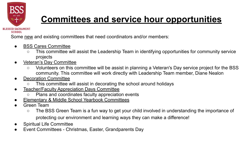

## **Committees and service hour opportunities**

Some new and existing committees that need coordinators and/or members:

- BSS Cares Committee
	- This committee will assist the Leadership Team in identifying opportunities for community service projects
- Veteran's Day Committee
	- Volunteers on this committee will be assist in planning a Veteran's Day service project for the BSS community. This committee will work directly with Leadership Team member, Diane Nealon
- **Decoration Committee** 
	- This committee will assist in decorating the school around holidays
- **Teacher/Faculty Appreciation Days Committee** 
	- Plans and coordinates faculty appreciation events
- **Elementary & Middle School Yearbook Committees**
- Green Team
	- The BSS Green Team is a fun way to get your child involved in understanding the importance of protecting our environment and learning ways they can make a difference!
- Spiritual Life Committee
- Event Committees Christmas, Easter, Grandparents Day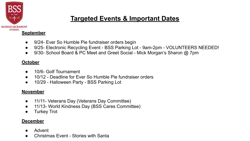

## **Targeted Events & Important Dates**

- 9/24- Ever So Humble Pie fundraiser orders begin
- 9/25- Electronic Recycling Event BSS Parking Lot 9am-2pm VOLUNTEERS NEEDED!
- 9/30- School Board & PC Meet and Greet Social Mick Morgan's Sharon @ 7pm

#### **October**

- 10/6- Golf Tournament
- 10/12 Deadline for Ever So Humble Pie fundraiser orders
- 10/29 Halloween Party BSS Parking Lot

#### **November**

- 11/11- Veterans Day (Veterans Day Committee)
- 11/13- World Kindness Day (BSS Cares Committee)
- **Turkey Trot**

#### **December**

- **Advent**
- Christmas Fyent Stories with Santa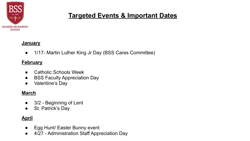

### **Targeted Events & Important Dates**

#### **January**

● 1/17- Martin Luther King Jr Day (BSS Cares Committee)

#### **February**

- Catholic Schools Week
- BSS Faculty Appreciation Day
- Valentine's Day

#### **March**

- **●** 3/2 Beginning of Lent
- St. Patrick's Day

#### **April**

- Egg Hunt/ Easter Bunny event
- 4/27 Administration Staff Appreciation Day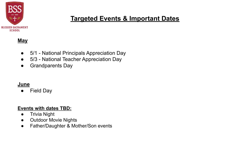

### **Targeted Events & Important Dates**

#### **May**

- 5/1 National Principals Appreciation Day
- 5/3 National Teacher Appreciation Day
- Grandparents Day

#### **June**

● Field Day

#### **Events with dates TBD:**

- Trivia Night
- Outdoor Movie Nights
- Father/Daughter & Mother/Son events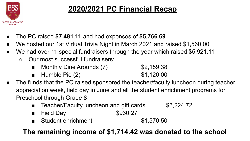

## **2020/2021 PC Financial Recap**

- The PC raised **\$7,481.11** and had expenses of **\$5,766.69**
- We hosted our 1st Virtual Trivia Night in March 2021 and raised \$1,560.00
- We had over 11 special fundraisers through the year which raised \$5,921.11
	- Our most successful fundraisers:
		- Monthly Dine Arounds (7) \$2,159.38
		- Humble Pie (2) \$1,120.00
- The funds that the PC raised sponsored the teacher/faculty luncheon during teacher appreciation week, field day in June and all the student enrichment programs for Preschool through Grade 8
	- Teacher/Faculty luncheon and gift cards \$3,224.72
	- Field Day \$930.27
	- Student enrichment \$1,570.50

## **The remaining income of \$1,714.42 was donated to the school**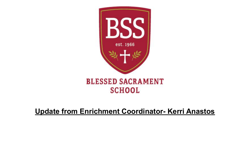

### **Update from Enrichment Coordinator- Kerri Anastos**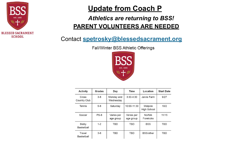

## **Update from Coach P**

#### *Athletics are returning to BSS!* **PARENT VOLUNTEERS ARE NEEDED**

## Contact **spetrosky@blessedsacrament.org**

Fall/Winter BSS Athletic Offerings



| Activity              | Grades  | Day                     | Time                    | Location                      | <b>Start Date</b> |
|-----------------------|---------|-------------------------|-------------------------|-------------------------------|-------------------|
| Cross<br>Country Club | $3 - 8$ | Monday and<br>Wednesday | $3:30-4:30$             | Jarvis Farm                   | 9/27              |
| Tennis                | $5 - 8$ | Saturday                | 10:00-11:30             | Walpole<br><b>High School</b> | 10/2              |
| Soccer                | $PS-8$  | Varies per<br>age group | Varies per<br>age group | Norfolk<br>Forekicks          | 11/15             |
| Biddy<br>Basketball   | $1 - 2$ | <b>TBD</b>              | <b>TBD</b>              | <b>BSS</b>                    | <b>TBD</b>        |
| Travel<br>Basketball  | $3 - 8$ | TBD                     | <b>TBD</b>              | BSS/other                     | <b>TBD</b>        |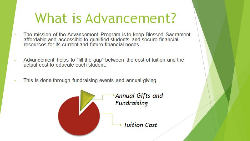## **What is Advancement?**

- The mission of the Advancement Program is to keep Blessed Sacrament  $\bar{a}$ affordable and accessible to qualified students and secure financial<br>resources for its current and future financial needs.
- Advancement helps to "fill the gap" between the cost of tuition and the actual cost to educate each student
- This is done through fundraising events and annual giving.

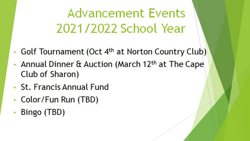**Advancement Events** 2021/2022 School Year

- Golf Tournament (Oct 4<sup>th</sup> at Norton Country Club)
- Annual Dinner & Auction (March 12th at The Cape Club of Sharon)
- St. Francis Annual Fund
- Color/Fun Run (TBD)
- Bingo (TBD)